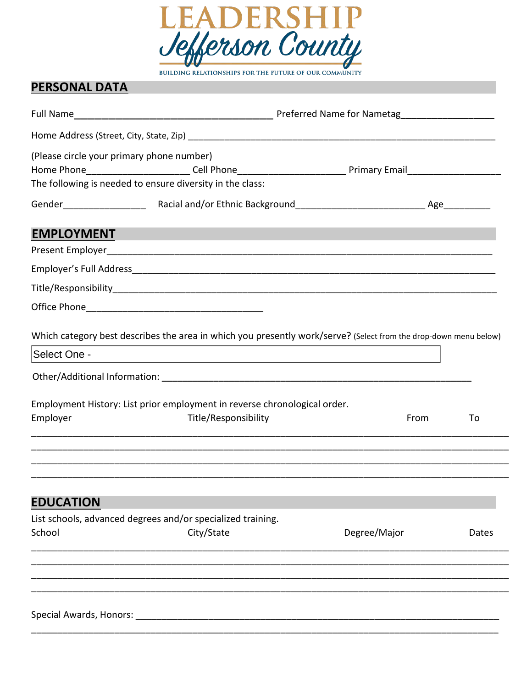

## **PERSONAL DATA PERSONAL DATA**

|                                                             | Full Name Manner Communication of Preferred Name for Nametag                                                                                                                                                             |              |      |       |
|-------------------------------------------------------------|--------------------------------------------------------------------------------------------------------------------------------------------------------------------------------------------------------------------------|--------------|------|-------|
|                                                             |                                                                                                                                                                                                                          |              |      |       |
|                                                             | (Please circle your primary phone number)<br>Home Phone__________________________Cell Phone_____________________________Primary Email______________________<br>The following is needed to ensure diversity in the class: |              |      |       |
|                                                             |                                                                                                                                                                                                                          |              |      |       |
| <b>EMPLOYMENT</b>                                           |                                                                                                                                                                                                                          |              |      |       |
|                                                             |                                                                                                                                                                                                                          |              |      |       |
|                                                             |                                                                                                                                                                                                                          |              |      |       |
|                                                             |                                                                                                                                                                                                                          |              |      |       |
|                                                             |                                                                                                                                                                                                                          |              |      |       |
|                                                             | Which category best describes the area in which you presently work/serve? (Select from the drop-down menu below)                                                                                                         |              |      |       |
| Select One -                                                | <u> 1980 - Johann Stein, marwolaethau a bhann an t-Amhair ann an t-Amhair an t-Amhair an t-Amhair an t-Amhair an</u>                                                                                                     |              |      |       |
|                                                             |                                                                                                                                                                                                                          |              |      |       |
| Employer                                                    | Employment History: List prior employment in reverse chronological order.<br>Title/Responsibility                                                                                                                        |              | From | To    |
|                                                             |                                                                                                                                                                                                                          |              |      |       |
| <b>EDUCATION</b>                                            |                                                                                                                                                                                                                          |              |      |       |
| List schools, advanced degrees and/or specialized training. |                                                                                                                                                                                                                          |              |      |       |
| School                                                      | City/State                                                                                                                                                                                                               | Degree/Major |      | Dates |
|                                                             |                                                                                                                                                                                                                          |              |      |       |
|                                                             |                                                                                                                                                                                                                          |              |      |       |
|                                                             |                                                                                                                                                                                                                          |              |      |       |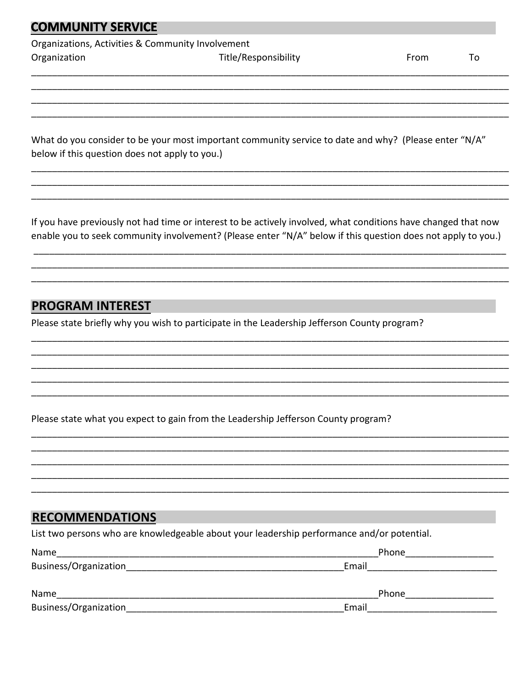#### **COMMUNITY SERVICE**

Organizations, Activities & Community Involvement

Organization

Title/Responsibility

From

To

What do you consider to be your most important community service to date and why? (Please enter "N/A" below if this question does not apply to you.)

If you have previously not had time or interest to be actively involved, what conditions have changed that now enable you to seek community involvement? (Please enter "N/A" below if this question does not apply to you.)

### **PROGRAM INTEREST**

Please state briefly why you wish to participate in the Leadership Jefferson County program?

Please state what you expect to gain from the Leadership Jefferson County program?

#### **RECOMMENDATIONS**

List two persons who are knowledgeable about your leadership performance and/or potential.

| Name                  | Phone |  |  |
|-----------------------|-------|--|--|
| Business/Organization | Email |  |  |
|                       |       |  |  |
| Name                  | Phone |  |  |
| Business/Organization | Email |  |  |